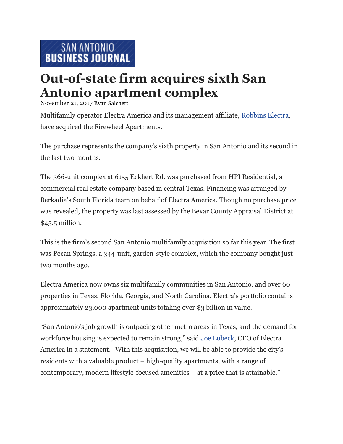## **Out-of-state firm acquires sixth San Antonio apartment complex**

November 21, 2017 Ryan [Salchert](https://www.bizjournals.com/sanantonio/bio/39391/Ryan+Salchert)

Multifamily operator Electra America and its management affiliate, [Robbins Electra,](https://www.bizjournals.com/sanantonio/search/results?q=Robbins%20Electra) have acquired the Firewheel Apartments.

The purchase represents the company's sixth property in San Antonio and its second in the last two months.

The 366-unit complex at 6155 Eckhert Rd. was purchased from HPI Residential, a commercial real estate company based in central Texas. Financing was arranged by Berkadia's South Florida team on behalf of Electra America. Though no purchase price was revealed, the property was last assessed by the Bexar County Appraisal District at \$45.5 million.

This is the firm's second San Antonio multifamily acquisition so far this year. The first was Pecan Springs, a 344-unit, garden-style complex, which the company bought just two months ago.

Electra America now owns six multifamily communities in San Antonio, and over 60 properties in Texas, Florida, Georgia, and North Carolina. Electra's portfolio contains approximately 23,000 apartment units totaling over \$3 billion in value.

"San Antonio's job growth is outpacing other metro areas in Texas, and the demand for workforce housing is expected to remain strong," said [Joe Lubeck,](https://www.bizjournals.com/sanantonio/search/results?q=Joe%20Lubeck) CEO of Electra America in a statement. "With this acquisition, we will be able to provide the city's residents with a valuable product – high-quality apartments, with a range of contemporary, modern lifestyle-focused amenities – at a price that is attainable."